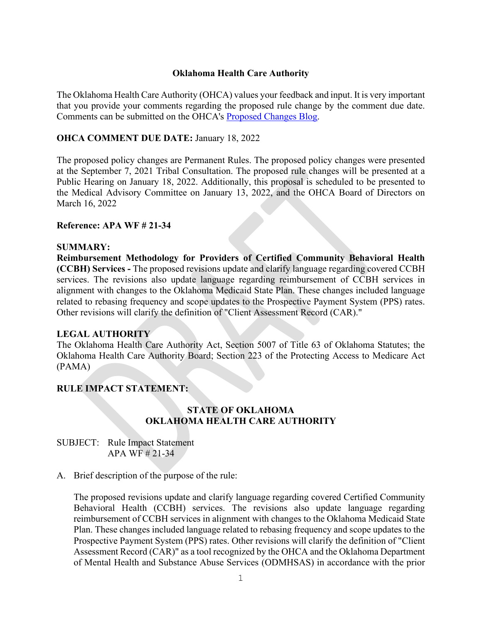# **Oklahoma Health Care Authority**

The Oklahoma Health Care Authority (OHCA) values your feedback and input. It is very important that you provide your comments regarding the proposed rule change by the comment due date. Comments can be submitted on the OHCA's **Proposed Changes Blog.** 

# **OHCA COMMENT DUE DATE:** January 18, 2022

The proposed policy changes are Permanent Rules. The proposed policy changes were presented at the September 7, 2021 Tribal Consultation. The proposed rule changes will be presented at a Public Hearing on January 18, 2022. Additionally, this proposal is scheduled to be presented to the Medical Advisory Committee on January 13, 2022, and the OHCA Board of Directors on March 16, 2022

#### **Reference: APA WF # 21-34**

# **SUMMARY:**

**Reimbursement Methodology for Providers of Certified Community Behavioral Health (CCBH) Services -** The proposed revisions update and clarify language regarding covered CCBH services. The revisions also update language regarding reimbursement of CCBH services in alignment with changes to the Oklahoma Medicaid State Plan. These changes included language related to rebasing frequency and scope updates to the Prospective Payment System (PPS) rates. Other revisions will clarify the definition of "Client Assessment Record (CAR)."

# **LEGAL AUTHORITY**

The Oklahoma Health Care Authority Act, Section 5007 of Title 63 of Oklahoma Statutes; the Oklahoma Health Care Authority Board; Section 223 of the Protecting Access to Medicare Act (PAMA)

# **RULE IMPACT STATEMENT:**

# **STATE OF OKLAHOMA OKLAHOMA HEALTH CARE AUTHORITY**

SUBJECT: Rule Impact Statement APA WF # 21-34

#### A. Brief description of the purpose of the rule:

The proposed revisions update and clarify language regarding covered Certified Community Behavioral Health (CCBH) services. The revisions also update language regarding reimbursement of CCBH services in alignment with changes to the Oklahoma Medicaid State Plan. These changes included language related to rebasing frequency and scope updates to the Prospective Payment System (PPS) rates. Other revisions will clarify the definition of "Client Assessment Record (CAR)" as a tool recognized by the OHCA and the Oklahoma Department of Mental Health and Substance Abuse Services (ODMHSAS) in accordance with the prior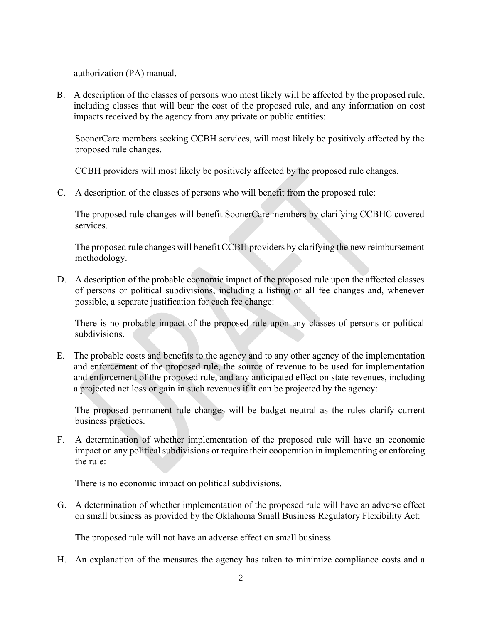authorization (PA) manual.

B. A description of the classes of persons who most likely will be affected by the proposed rule, including classes that will bear the cost of the proposed rule, and any information on cost impacts received by the agency from any private or public entities:

SoonerCare members seeking CCBH services, will most likely be positively affected by the proposed rule changes.

CCBH providers will most likely be positively affected by the proposed rule changes.

C. A description of the classes of persons who will benefit from the proposed rule:

The proposed rule changes will benefit SoonerCare members by clarifying CCBHC covered services.

The proposed rule changes will benefit CCBH providers by clarifying the new reimbursement methodology.

D. A description of the probable economic impact of the proposed rule upon the affected classes of persons or political subdivisions, including a listing of all fee changes and, whenever possible, a separate justification for each fee change:

There is no probable impact of the proposed rule upon any classes of persons or political subdivisions.

E. The probable costs and benefits to the agency and to any other agency of the implementation and enforcement of the proposed rule, the source of revenue to be used for implementation and enforcement of the proposed rule, and any anticipated effect on state revenues, including a projected net loss or gain in such revenues if it can be projected by the agency:

The proposed permanent rule changes will be budget neutral as the rules clarify current business practices.

F. A determination of whether implementation of the proposed rule will have an economic impact on any political subdivisions or require their cooperation in implementing or enforcing the rule:

There is no economic impact on political subdivisions.

G. A determination of whether implementation of the proposed rule will have an adverse effect on small business as provided by the Oklahoma Small Business Regulatory Flexibility Act:

The proposed rule will not have an adverse effect on small business.

H. An explanation of the measures the agency has taken to minimize compliance costs and a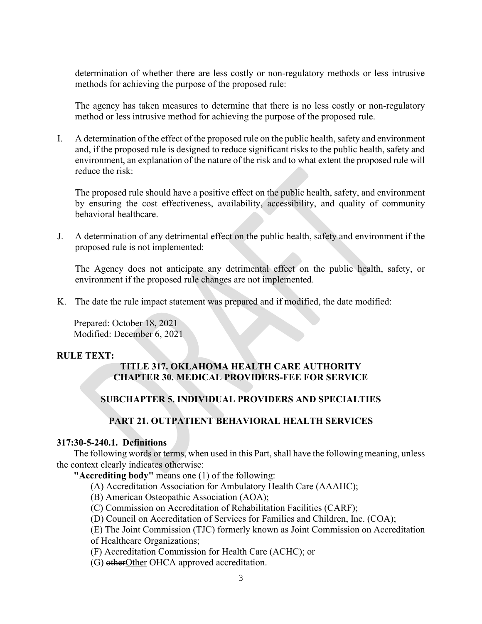determination of whether there are less costly or non-regulatory methods or less intrusive methods for achieving the purpose of the proposed rule:

The agency has taken measures to determine that there is no less costly or non-regulatory method or less intrusive method for achieving the purpose of the proposed rule.

I. A determination of the effect of the proposed rule on the public health, safety and environment and, if the proposed rule is designed to reduce significant risks to the public health, safety and environment, an explanation of the nature of the risk and to what extent the proposed rule will reduce the risk:

The proposed rule should have a positive effect on the public health, safety, and environment by ensuring the cost effectiveness, availability, accessibility, and quality of community behavioral healthcare.

J. A determination of any detrimental effect on the public health, safety and environment if the proposed rule is not implemented:

The Agency does not anticipate any detrimental effect on the public health, safety, or environment if the proposed rule changes are not implemented.

K. The date the rule impact statement was prepared and if modified, the date modified:

Prepared: October 18, 2021 Modified: December 6, 2021

# **RULE TEXT:**

# **TITLE 317. OKLAHOMA HEALTH CARE AUTHORITY CHAPTER 30. MEDICAL PROVIDERS-FEE FOR SERVICE**

# **SUBCHAPTER 5. INDIVIDUAL PROVIDERS AND SPECIALTIES**

# **PART 21. OUTPATIENT BEHAVIORAL HEALTH SERVICES**

# **317:30-5-240.1. Definitions**

The following words or terms, when used in this Part, shall have the following meaning, unless the context clearly indicates otherwise:

**"Accrediting body"** means one (1) of the following:

- (A) Accreditation Association for Ambulatory Health Care (AAAHC);
- (B) American Osteopathic Association (AOA);

(C) Commission on Accreditation of Rehabilitation Facilities (CARF);

(D) Council on Accreditation of Services for Families and Children, Inc. (COA);

(E) The Joint Commission (TJC) formerly known as Joint Commission on Accreditation of Healthcare Organizations;

(F) Accreditation Commission for Health Care (ACHC); or

(G) other Other OHCA approved accreditation.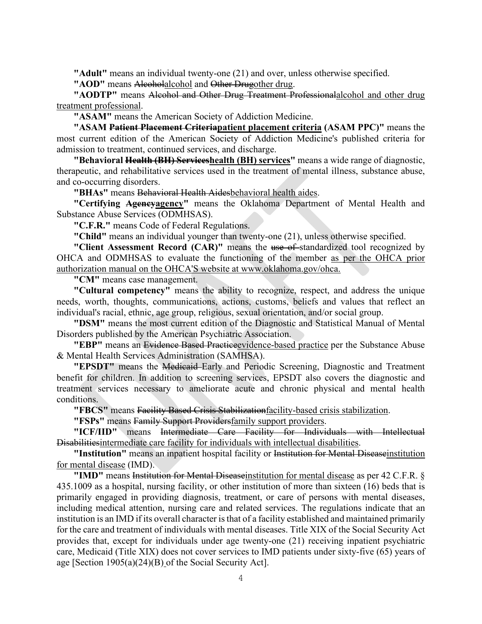**"Adult"** means an individual twenty-one (21) and over, unless otherwise specified.

"**AOD**" means Alcoholalcohol and Other Drugother drug.

**"AODTP"** means Alcohol and Other Drug Treatment Professionalalcohol and other drug treatment professional.

**"ASAM"** means the American Society of Addiction Medicine.

**"ASAM Patient Placement Criteriapatient placement criteria (ASAM PPC)"** means the most current edition of the American Society of Addiction Medicine's published criteria for admission to treatment, continued services, and discharge.

**"Behavioral Health (BH) Serviceshealth (BH) services"** means a wide range of diagnostic, therapeutic, and rehabilitative services used in the treatment of mental illness, substance abuse, and co-occurring disorders.

**"BHAs"** means Behavioral Health Aidesbehavioral health aides.

**"Certifying Agencyagency"** means the Oklahoma Department of Mental Health and Substance Abuse Services (ODMHSAS).

**"C.F.R."** means Code of Federal Regulations.

**"Child"** means an individual younger than twenty-one (21), unless otherwise specified.

**"Client Assessment Record (CAR)"** means the use of standardized tool recognized by OHCA and ODMHSAS to evaluate the functioning of the member as per the OHCA prior authorization manual on the OHCA'S website at www.oklahoma.gov/ohca.

**"CM"** means case management.

**"Cultural competency"** means the ability to recognize, respect, and address the unique needs, worth, thoughts, communications, actions, customs, beliefs and values that reflect an individual's racial, ethnic, age group, religious, sexual orientation, and/or social group.

**"DSM"** means the most current edition of the Diagnostic and Statistical Manual of Mental Disorders published by the American Psychiatric Association.

**"EBP"** means an Evidence Based Practiceevidence-based practice per the Substance Abuse & Mental Health Services Administration (SAMHSA).

**"EPSDT"** means the Medicaid Early and Periodic Screening, Diagnostic and Treatment benefit for children. In addition to screening services, EPSDT also covers the diagnostic and treatment services necessary to ameliorate acute and chronic physical and mental health conditions.

**"FBCS"** means Facility Based Crisis Stabilizationfacility-based crisis stabilization.

**"FSPs"** means Family Support Providersfamily support providers.

**"ICF/IID"** means Intermediate Care Facility for Individuals with Intellectual Disabilitiesintermediate care facility for individuals with intellectual disabilities.

"Institution" means an inpatient hospital facility or Institution for Mental Diseaseinstitution for mental disease (IMD).

**"IMD"** means Institution for Mental Diseaseinstitution for mental disease as per 42 C.F.R. § 435.1009 as a hospital, nursing facility, or other institution of more than sixteen (16) beds that is primarily engaged in providing diagnosis, treatment, or care of persons with mental diseases, including medical attention, nursing care and related services. The regulations indicate that an institution is an IMD if its overall character is that of a facility established and maintained primarily for the care and treatment of individuals with mental diseases. Title XIX of the Social Security Act provides that, except for individuals under age twenty-one (21) receiving inpatient psychiatric care, Medicaid (Title XIX) does not cover services to IMD patients under sixty-five (65) years of age [Section 1905(a)(24)(B) of the Social Security Act].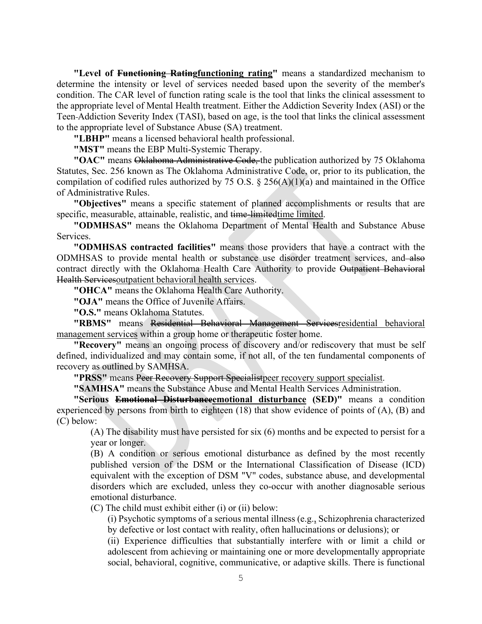**"Level of Functioning Ratingfunctioning rating"** means a standardized mechanism to determine the intensity or level of services needed based upon the severity of the member's condition. The CAR level of function rating scale is the tool that links the clinical assessment to the appropriate level of Mental Health treatment. Either the Addiction Severity Index (ASI) or the Teen Addiction Severity Index (TASI), based on age, is the tool that links the clinical assessment to the appropriate level of Substance Abuse (SA) treatment.

**"LBHP"** means a licensed behavioral health professional.

**"MST"** means the EBP Multi-Systemic Therapy.

**"OAC"** means Oklahoma Administrative Code, the publication authorized by 75 Oklahoma Statutes, Sec. 256 known as The Oklahoma Administrative Code, or, prior to its publication, the compilation of codified rules authorized by 75 O.S.  $\S$  256(A)(1)(a) and maintained in the Office of Administrative Rules.

**"Objectives"** means a specific statement of planned accomplishments or results that are specific, measurable, attainable, realistic, and time-limitedtime limited.

**"ODMHSAS"** means the Oklahoma Department of Mental Health and Substance Abuse Services.

**"ODMHSAS contracted facilities"** means those providers that have a contract with the ODMHSAS to provide mental health or substance use disorder treatment services, and also contract directly with the Oklahoma Health Care Authority to provide Outpatient Behavioral Health Servicesoutpatient behavioral health services.

**"OHCA"** means the Oklahoma Health Care Authority.

**"OJA"** means the Office of Juvenile Affairs.

**"O.S."** means Oklahoma Statutes.

**"RBMS"** means Residential Behavioral Management Servicesresidential behavioral management services within a group home or therapeutic foster home.

**"Recovery"** means an ongoing process of discovery and/or rediscovery that must be self defined, individualized and may contain some, if not all, of the ten fundamental components of recovery as outlined by SAMHSA.

**"PRSS"** means Peer Recovery Support Specialistpeer recovery support specialist.

**"SAMHSA"** means the Substance Abuse and Mental Health Services Administration.

**"Serious Emotional Disturbanceemotional disturbance (SED)"** means a condition experienced by persons from birth to eighteen (18) that show evidence of points of (A), (B) and (C) below:

(A) The disability must have persisted for six (6) months and be expected to persist for a year or longer.

(B) A condition or serious emotional disturbance as defined by the most recently published version of the DSM or the International Classification of Disease (ICD) equivalent with the exception of DSM "V" codes, substance abuse, and developmental disorders which are excluded, unless they co-occur with another diagnosable serious emotional disturbance.

(C) The child must exhibit either (i) or (ii) below:

(i) Psychotic symptoms of a serious mental illness (e.g., Schizophrenia characterized by defective or lost contact with reality, often hallucinations or delusions); or

(ii) Experience difficulties that substantially interfere with or limit a child or adolescent from achieving or maintaining one or more developmentally appropriate social, behavioral, cognitive, communicative, or adaptive skills. There is functional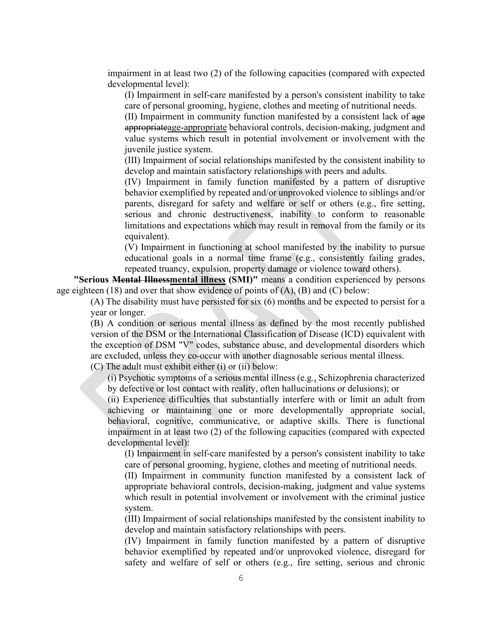impairment in at least two (2) of the following capacities (compared with expected developmental level):

(I) Impairment in self-care manifested by a person's consistent inability to take care of personal grooming, hygiene, clothes and meeting of nutritional needs.

(II) Impairment in community function manifested by a consistent lack of age appropriateage-appropriate behavioral controls, decision-making, judgment and value systems which result in potential involvement or involvement with the juvenile justice system.

(III) Impairment of social relationships manifested by the consistent inability to develop and maintain satisfactory relationships with peers and adults.

(IV) Impairment in family function manifested by a pattern of disruptive behavior exemplified by repeated and/or unprovoked violence to siblings and/or parents, disregard for safety and welfare or self or others (e.g., fire setting, serious and chronic destructiveness, inability to conform to reasonable limitations and expectations which may result in removal from the family or its equivalent).

(V) Impairment in functioning at school manifested by the inability to pursue educational goals in a normal time frame (e.g., consistently failing grades, repeated truancy, expulsion, property damage or violence toward others).

**"Serious Mental Illnessmental illness (SMI)"** means a condition experienced by persons age eighteen  $(18)$  and over that show evidence of points of  $(A)$ ,  $(B)$  and  $(C)$  below:

(A) The disability must have persisted for six (6) months and be expected to persist for a year or longer.

(B) A condition or serious mental illness as defined by the most recently published version of the DSM or the International Classification of Disease (ICD) equivalent with the exception of DSM "V" codes, substance abuse, and developmental disorders which are excluded, unless they co-occur with another diagnosable serious mental illness.

(C) The adult must exhibit either (i) or (ii) below:

(i) Psychotic symptoms of a serious mental illness (e.g., Schizophrenia characterized by defective or lost contact with reality, often hallucinations or delusions); or

(ii) Experience difficulties that substantially interfere with or limit an adult from achieving or maintaining one or more developmentally appropriate social, behavioral, cognitive, communicative, or adaptive skills. There is functional impairment in at least two (2) of the following capacities (compared with expected developmental level):

(I) Impairment in self-care manifested by a person's consistent inability to take care of personal grooming, hygiene, clothes and meeting of nutritional needs.

(II) Impairment in community function manifested by a consistent lack of appropriate behavioral controls, decision-making, judgment and value systems which result in potential involvement or involvement with the criminal justice system.

(III) Impairment of social relationships manifested by the consistent inability to develop and maintain satisfactory relationships with peers.

(IV) Impairment in family function manifested by a pattern of disruptive behavior exemplified by repeated and/or unprovoked violence, disregard for safety and welfare of self or others (e.g., fire setting, serious and chronic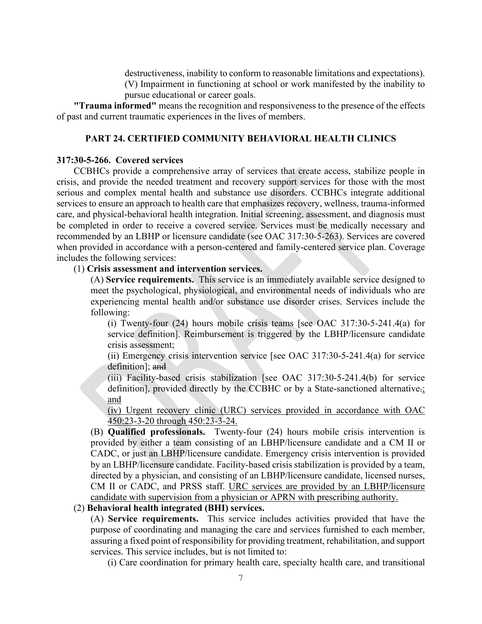destructiveness, inability to conform to reasonable limitations and expectations). (V) Impairment in functioning at school or work manifested by the inability to pursue educational or career goals.

**"Trauma informed"** means the recognition and responsiveness to the presence of the effects of past and current traumatic experiences in the lives of members.

# **PART 24. CERTIFIED COMMUNITY BEHAVIORAL HEALTH CLINICS**

# **317:30-5-266. Covered services**

CCBHCs provide a comprehensive array of services that create access, stabilize people in crisis, and provide the needed treatment and recovery support services for those with the most serious and complex mental health and substance use disorders. CCBHCs integrate additional services to ensure an approach to health care that emphasizes recovery, wellness, trauma-informed care, and physical-behavioral health integration. Initial screening, assessment, and diagnosis must be completed in order to receive a covered service. Services must be medically necessary and recommended by an LBHP or licensure candidate (see OAC 317:30-5-263). Services are covered when provided in accordance with a person-centered and family-centered service plan. Coverage includes the following services:

# (1) **Crisis assessment and intervention services.**

(A) **Service requirements.** This service is an immediately available service designed to meet the psychological, physiological, and environmental needs of individuals who are experiencing mental health and/or substance use disorder crises. Services include the following:

(i) Twenty-four (24) hours mobile crisis teams [see OAC 317:30-5-241.4(a) for service definition]. Reimbursement is triggered by the LBHP/licensure candidate crisis assessment;

(ii) Emergency crisis intervention service [see OAC 317:30-5-241.4(a) for service definition]; and

(iii) Facility-based crisis stabilization [see OAC 317:30-5-241.4(b) for service definition], provided directly by the CCBHC or by a State-sanctioned alternative.; and

(iv) Urgent recovery clinic (URC) services provided in accordance with OAC 450:23-3-20 through 450:23-3-24.

(B) **Qualified professionals.** Twenty-four (24) hours mobile crisis intervention is provided by either a team consisting of an LBHP/licensure candidate and a CM II or CADC, or just an LBHP/licensure candidate. Emergency crisis intervention is provided by an LBHP/licensure candidate. Facility-based crisis stabilization is provided by a team, directed by a physician, and consisting of an LBHP/licensure candidate, licensed nurses, CM II or CADC, and PRSS staff. URC services are provided by an LBHP/licensure candidate with supervision from a physician or APRN with prescribing authority.

# (2) **Behavioral health integrated (BHI) services.**

(A) **Service requirements.** This service includes activities provided that have the purpose of coordinating and managing the care and services furnished to each member, assuring a fixed point of responsibility for providing treatment, rehabilitation, and support services. This service includes, but is not limited to:

(i) Care coordination for primary health care, specialty health care, and transitional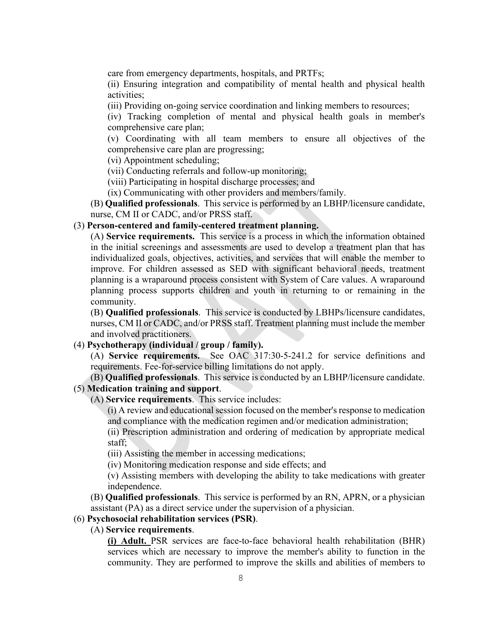care from emergency departments, hospitals, and PRTFs;

(ii) Ensuring integration and compatibility of mental health and physical health activities;

(iii) Providing on-going service coordination and linking members to resources;

(iv) Tracking completion of mental and physical health goals in member's comprehensive care plan;

(v) Coordinating with all team members to ensure all objectives of the comprehensive care plan are progressing;

(vi) Appointment scheduling;

(vii) Conducting referrals and follow-up monitoring;

(viii) Participating in hospital discharge processes; and

(ix) Communicating with other providers and members/family.

(B) **Qualified professionals**. This service is performed by an LBHP/licensure candidate, nurse, CM II or CADC, and/or PRSS staff.

# (3) **Person-centered and family-centered treatment planning.**

(A) **Service requirements.** This service is a process in which the information obtained in the initial screenings and assessments are used to develop a treatment plan that has individualized goals, objectives, activities, and services that will enable the member to improve. For children assessed as SED with significant behavioral needs, treatment planning is a wraparound process consistent with System of Care values. A wraparound planning process supports children and youth in returning to or remaining in the community.

(B) **Qualified professionals**. This service is conducted by LBHPs/licensure candidates, nurses, CM II or CADC, and/or PRSS staff. Treatment planning must include the member and involved practitioners.

# (4) **Psychotherapy (individual / group / family).**

(A) **Service requirements.** See OAC 317:30-5-241.2 for service definitions and requirements. Fee-for-service billing limitations do not apply.

(B) **Qualified professionals**. This service is conducted by an LBHP/licensure candidate. (5) **Medication training and support**.

(A) **Service requirements**. This service includes:

(i) A review and educational session focused on the member's response to medication and compliance with the medication regimen and/or medication administration;

(ii) Prescription administration and ordering of medication by appropriate medical staff;

(iii) Assisting the member in accessing medications;

(iv) Monitoring medication response and side effects; and

(v) Assisting members with developing the ability to take medications with greater independence.

(B) **Qualified professionals**. This service is performed by an RN, APRN, or a physician assistant (PA) as a direct service under the supervision of a physician.

#### (6) **Psychosocial rehabilitation services (PSR)**.

#### (A) **Service requirements**.

**(i) Adult.** PSR services are face-to-face behavioral health rehabilitation (BHR) services which are necessary to improve the member's ability to function in the community. They are performed to improve the skills and abilities of members to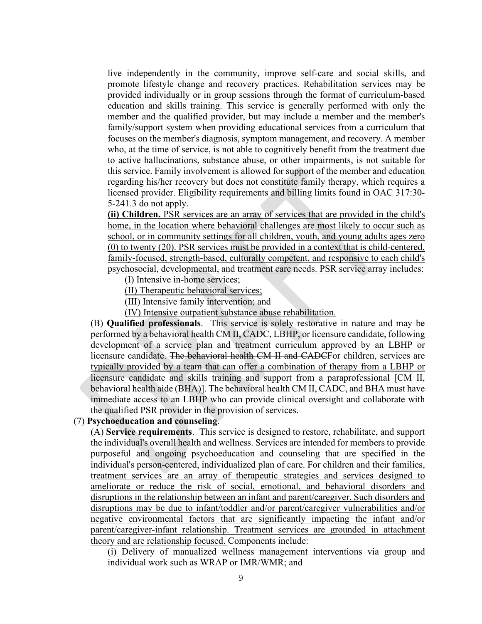live independently in the community, improve self-care and social skills, and promote lifestyle change and recovery practices. Rehabilitation services may be provided individually or in group sessions through the format of curriculum-based education and skills training. This service is generally performed with only the member and the qualified provider, but may include a member and the member's family/support system when providing educational services from a curriculum that focuses on the member's diagnosis, symptom management, and recovery. A member who, at the time of service, is not able to cognitively benefit from the treatment due to active hallucinations, substance abuse, or other impairments, is not suitable for this service. Family involvement is allowed for support of the member and education regarding his/her recovery but does not constitute family therapy, which requires a licensed provider. Eligibility requirements and billing limits found in OAC 317:30- 5-241.3 do not apply.

**(ii) Children.** PSR services are an array of services that are provided in the child's home, in the location where behavioral challenges are most likely to occur such as school, or in community settings for all children, youth, and young adults ages zero (0) to twenty (20). PSR services must be provided in a context that is child-centered, family-focused, strength-based, culturally competent, and responsive to each child's psychosocial, developmental, and treatment care needs. PSR service array includes:

(I) Intensive in-home services;

(II) Therapeutic behavioral services;

(III) Intensive family intervention; and

(IV) Intensive outpatient substance abuse rehabilitation.

(B) **Qualified professionals**. This service is solely restorative in nature and may be performed by a behavioral health CM II, CADC, LBHP, or licensure candidate, following development of a service plan and treatment curriculum approved by an LBHP or licensure candidate. The behavioral health CM II and CADCFor children, services are typically provided by a team that can offer a combination of therapy from a LBHP or licensure candidate and skills training and support from a paraprofessional [CM II, behavioral health aide (BHA)]. The behavioral health CM II, CADC, and BHA must have immediate access to an LBHP who can provide clinical oversight and collaborate with the qualified PSR provider in the provision of services.

# (7) **Psychoeducation and counseling**.

(A) **Service requirements**. This service is designed to restore, rehabilitate, and support the individual's overall health and wellness. Services are intended for members to provide purposeful and ongoing psychoeducation and counseling that are specified in the individual's person-centered, individualized plan of care. For children and their families, treatment services are an array of therapeutic strategies and services designed to ameliorate or reduce the risk of social, emotional, and behavioral disorders and disruptions in the relationship between an infant and parent/caregiver. Such disorders and disruptions may be due to infant/toddler and/or parent/caregiver vulnerabilities and/or negative environmental factors that are significantly impacting the infant and/or parent/caregiver-infant relationship. Treatment services are grounded in attachment theory and are relationship focused. Components include:

(i) Delivery of manualized wellness management interventions via group and individual work such as WRAP or IMR/WMR; and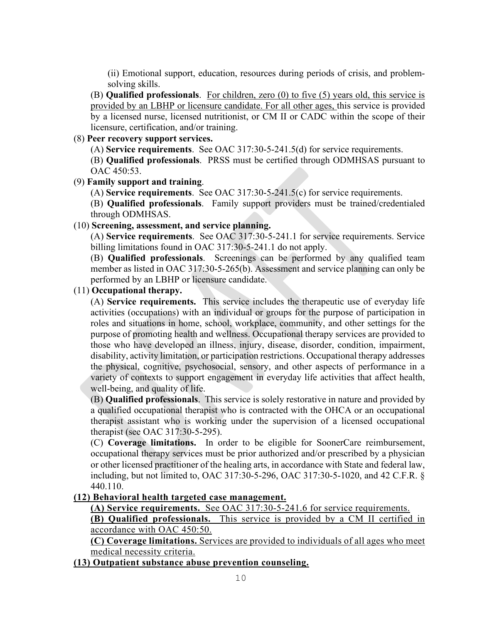(ii) Emotional support, education, resources during periods of crisis, and problemsolving skills.

(B) **Qualified professionals**. For children, zero (0) to five (5) years old, this service is provided by an LBHP or licensure candidate. For all other ages, this service is provided by a licensed nurse, licensed nutritionist, or CM II or CADC within the scope of their licensure, certification, and/or training.

# (8) **Peer recovery support services.**

(A) **Service requirements**. See OAC 317:30-5-241.5(d) for service requirements.

(B) **Qualified professionals**. PRSS must be certified through ODMHSAS pursuant to OAC 450:53.

#### (9) **Family support and training**.

(A) **Service requirements**. See OAC 317:30-5-241.5(c) for service requirements.

(B) **Qualified professionals**. Family support providers must be trained/credentialed through ODMHSAS.

# (10) **Screening, assessment, and service planning.**

(A) **Service requirements**. See OAC 317:30-5-241.1 for service requirements. Service billing limitations found in OAC 317:30-5-241.1 do not apply.

(B) **Qualified professionals**. Screenings can be performed by any qualified team member as listed in OAC 317:30-5-265(b). Assessment and service planning can only be performed by an LBHP or licensure candidate.

# (11) **Occupational therapy.**

(A) **Service requirements.** This service includes the therapeutic use of everyday life activities (occupations) with an individual or groups for the purpose of participation in roles and situations in home, school, workplace, community, and other settings for the purpose of promoting health and wellness. Occupational therapy services are provided to those who have developed an illness, injury, disease, disorder, condition, impairment, disability, activity limitation, or participation restrictions. Occupational therapy addresses the physical, cognitive, psychosocial, sensory, and other aspects of performance in a variety of contexts to support engagement in everyday life activities that affect health, well-being, and quality of life.

(B) **Qualified professionals**. This service is solely restorative in nature and provided by a qualified occupational therapist who is contracted with the OHCA or an occupational therapist assistant who is working under the supervision of a licensed occupational therapist (see OAC 317:30-5-295).

(C) **Coverage limitations.** In order to be eligible for SoonerCare reimbursement, occupational therapy services must be prior authorized and/or prescribed by a physician or other licensed practitioner of the healing arts, in accordance with State and federal law, including, but not limited to, OAC 317:30-5-296, OAC 317:30-5-1020, and 42 C.F.R. § 440.110.

#### **(12) Behavioral health targeted case management.**

**(A) Service requirements.** See OAC 317:30-5-241.6 for service requirements.

**(B) Qualified professionals.** This service is provided by a CM II certified in accordance with OAC 450:50.

**(C) Coverage limitations.** Services are provided to individuals of all ages who meet medical necessity criteria.

# **(13) Outpatient substance abuse prevention counseling.**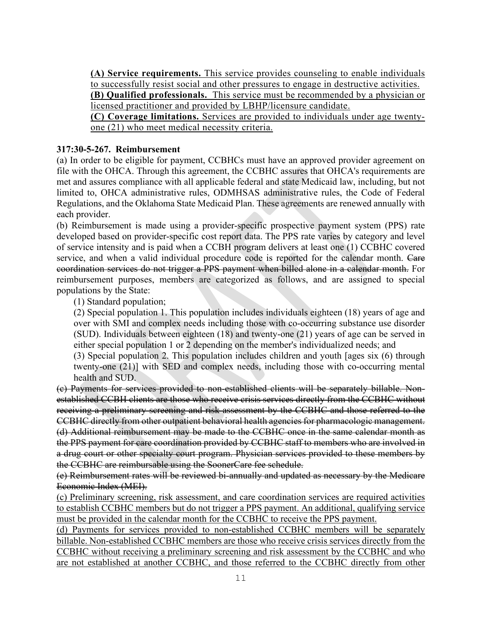**(A) Service requirements.** This service provides counseling to enable individuals to successfully resist social and other pressures to engage in destructive activities.

**(B) Qualified professionals.** This service must be recommended by a physician or licensed practitioner and provided by LBHP/licensure candidate.

**(C) Coverage limitations.** Services are provided to individuals under age twentyone (21) who meet medical necessity criteria.

# **317:30-5-267. Reimbursement**

(a) In order to be eligible for payment, CCBHCs must have an approved provider agreement on file with the OHCA. Through this agreement, the CCBHC assures that OHCA's requirements are met and assures compliance with all applicable federal and state Medicaid law, including, but not limited to, OHCA administrative rules, ODMHSAS administrative rules, the Code of Federal Regulations, and the Oklahoma State Medicaid Plan. These agreements are renewed annually with each provider.

(b) Reimbursement is made using a provider-specific prospective payment system (PPS) rate developed based on provider-specific cost report data. The PPS rate varies by category and level of service intensity and is paid when a CCBH program delivers at least one (1) CCBHC covered service, and when a valid individual procedure code is reported for the calendar month. Care coordination services do not trigger a PPS payment when billed alone in a calendar month. For reimbursement purposes, members are categorized as follows, and are assigned to special populations by the State:

(1) Standard population;

(2) Special population 1. This population includes individuals eighteen (18) years of age and over with SMI and complex needs including those with co-occurring substance use disorder (SUD). Individuals between eighteen (18) and twenty-one (21) years of age can be served in either special population 1 or 2 depending on the member's individualized needs; and

(3) Special population 2. This population includes children and youth [ages six (6) through twenty-one (21)] with SED and complex needs, including those with co-occurring mental health and SUD.

(c) Payments for services provided to non-established clients will be separately billable. Nonestablished CCBH clients are those who receive crisis services directly from the CCBHC without receiving a preliminary screening and risk assessment by the CCBHC and those referred to the CCBHC directly from other outpatient behavioral health agencies for pharmacologic management. (d) Additional reimbursement may be made to the CCBHC once in the same calendar month as the PPS payment for care coordination provided by CCBHC staff to members who are involved in a drug court or other specialty court program. Physician services provided to these members by the CCBHC are reimbursable using the SoonerCare fee schedule.

(e) Reimbursement rates will be reviewed bi-annually and updated as necessary by the Medicare Economic Index (MEI).

(c) Preliminary screening, risk assessment, and care coordination services are required activities to establish CCBHC members but do not trigger a PPS payment. An additional, qualifying service must be provided in the calendar month for the CCBHC to receive the PPS payment.

(d) Payments for services provided to non-established CCBHC members will be separately billable. Non-established CCBHC members are those who receive crisis services directly from the CCBHC without receiving a preliminary screening and risk assessment by the CCBHC and who are not established at another CCBHC, and those referred to the CCBHC directly from other